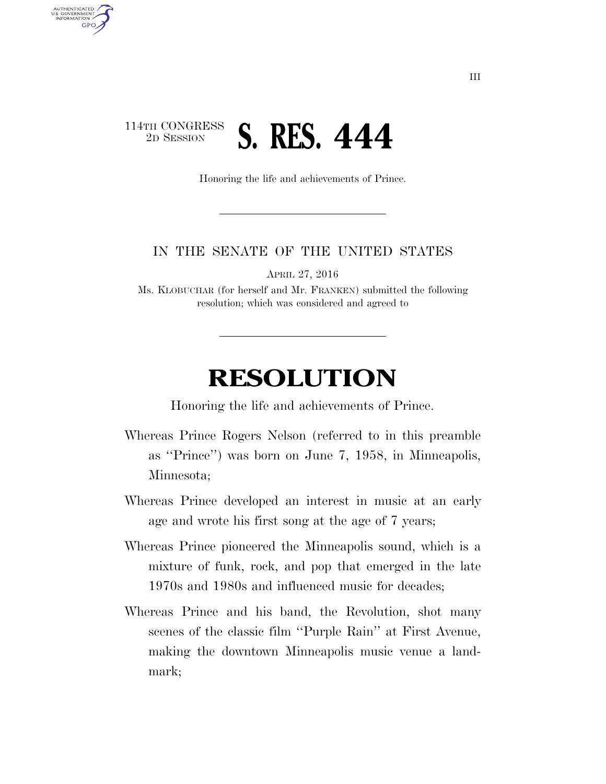## 114TH CONGRESS <sup>2D SESSION</sup> **S. RES. 444**

AUTHENTICATED<br>U.S. GOVERNMENT<br>INFORMATION

**GPO** 

Honoring the life and achievements of Prince.

## IN THE SENATE OF THE UNITED STATES

APRIL 27, 2016

Ms. KLOBUCHAR (for herself and Mr. FRANKEN) submitted the following resolution; which was considered and agreed to

## **RESOLUTION**

Honoring the life and achievements of Prince.

- Whereas Prince Rogers Nelson (referred to in this preamble as ''Prince'') was born on June 7, 1958, in Minneapolis, Minnesota;
- Whereas Prince developed an interest in music at an early age and wrote his first song at the age of 7 years;
- Whereas Prince pioneered the Minneapolis sound, which is a mixture of funk, rock, and pop that emerged in the late 1970s and 1980s and influenced music for decades;
- Whereas Prince and his band, the Revolution, shot many scenes of the classic film ''Purple Rain'' at First Avenue, making the downtown Minneapolis music venue a landmark;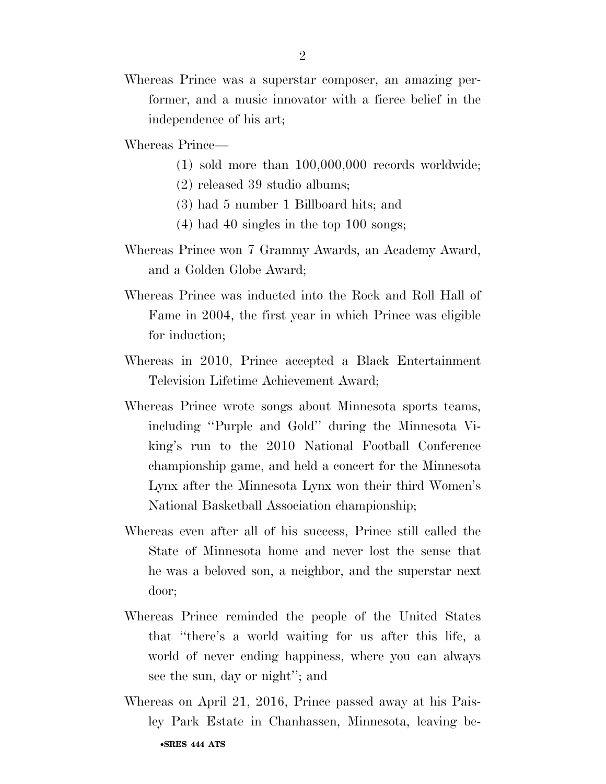Whereas Prince was a superstar composer, an amazing performer, and a music innovator with a fierce belief in the independence of his art;

Whereas Prince—

- (1) sold more than 100,000,000 records worldwide;
- (2) released 39 studio albums;
- (3) had 5 number 1 Billboard hits; and
- (4) had 40 singles in the top 100 songs;
- Whereas Prince won 7 Grammy Awards, an Academy Award, and a Golden Globe Award;
- Whereas Prince was inducted into the Rock and Roll Hall of Fame in 2004, the first year in which Prince was eligible for induction;
- Whereas in 2010, Prince accepted a Black Entertainment Television Lifetime Achievement Award;
- Whereas Prince wrote songs about Minnesota sports teams, including ''Purple and Gold'' during the Minnesota Viking's run to the 2010 National Football Conference championship game, and held a concert for the Minnesota Lynx after the Minnesota Lynx won their third Women's National Basketball Association championship;
- Whereas even after all of his success, Prince still called the State of Minnesota home and never lost the sense that he was a beloved son, a neighbor, and the superstar next door;
- Whereas Prince reminded the people of the United States that ''there's a world waiting for us after this life, a world of never ending happiness, where you can always see the sun, day or night''; and
- •**SRES 444 ATS**  Whereas on April 21, 2016, Prince passed away at his Paisley Park Estate in Chanhassen, Minnesota, leaving be-